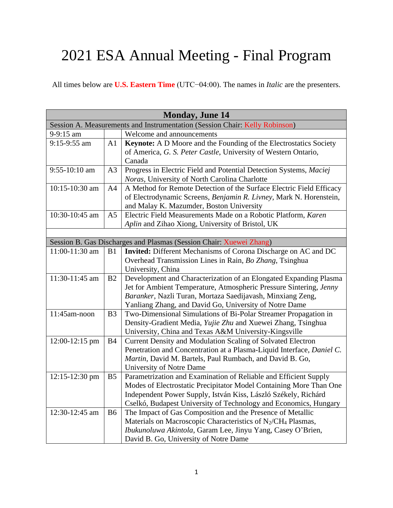## 2021 ESA Annual Meeting - Final Program

All times below are **U.S. Eastern Time** (UTC−04:00). The names in *Italic* are the presenters.

| <b>Monday, June 14</b>                                                      |                |                                                                                      |  |  |
|-----------------------------------------------------------------------------|----------------|--------------------------------------------------------------------------------------|--|--|
| Session A. Measurements and Instrumentation (Session Chair: Kelly Robinson) |                |                                                                                      |  |  |
| 9-9:15 am                                                                   |                | Welcome and announcements                                                            |  |  |
| 9:15-9:55 am                                                                | A1             | Keynote: A D Moore and the Founding of the Electrostatics Society                    |  |  |
|                                                                             |                | of America, G. S. Peter Castle, University of Western Ontario,                       |  |  |
|                                                                             |                | Canada                                                                               |  |  |
| $9:55-10:10$ am                                                             | A <sub>3</sub> | Progress in Electric Field and Potential Detection Systems, Maciej                   |  |  |
|                                                                             |                | Noras, University of North Carolina Charlotte                                        |  |  |
| 10:15-10:30 am                                                              | A4             | A Method for Remote Detection of the Surface Electric Field Efficacy                 |  |  |
|                                                                             |                | of Electrodynamic Screens, Benjamin R. Livney, Mark N. Horenstein,                   |  |  |
|                                                                             |                | and Malay K. Mazumder, Boston University                                             |  |  |
| 10:30-10:45 am                                                              | A <sub>5</sub> | Electric Field Measurements Made on a Robotic Platform, Karen                        |  |  |
|                                                                             |                | Aplin and Zihao Xiong, University of Bristol, UK                                     |  |  |
|                                                                             |                |                                                                                      |  |  |
|                                                                             |                | Session B. Gas Discharges and Plasmas (Session Chair: Xuewei Zhang)                  |  |  |
| 11:00-11:30 am                                                              | B1             | <b>Invited:</b> Different Mechanisms of Corona Discharge on AC and DC                |  |  |
|                                                                             |                | Overhead Transmission Lines in Rain, Bo Zhang, Tsinghua                              |  |  |
|                                                                             |                | University, China                                                                    |  |  |
| 11:30-11:45 am                                                              | B <sub>2</sub> | Development and Characterization of an Elongated Expanding Plasma                    |  |  |
|                                                                             |                | Jet for Ambient Temperature, Atmospheric Pressure Sintering, Jenny                   |  |  |
|                                                                             |                | Baranker, Nazli Turan, Mortaza Saedijavash, Minxiang Zeng,                           |  |  |
|                                                                             |                | Yanliang Zhang, and David Go, University of Notre Dame                               |  |  |
| 11:45am-noon                                                                | B <sub>3</sub> | Two-Dimensional Simulations of Bi-Polar Streamer Propagation in                      |  |  |
|                                                                             |                | Density-Gradient Media, Yujie Zhu and Xuewei Zhang, Tsinghua                         |  |  |
|                                                                             |                | University, China and Texas A&M University-Kingsville                                |  |  |
| 12:00-12:15 pm                                                              | <b>B4</b>      | Current Density and Modulation Scaling of Solvated Electron                          |  |  |
|                                                                             |                | Penetration and Concentration at a Plasma-Liquid Interface, Daniel C.                |  |  |
|                                                                             |                | Martin, David M. Bartels, Paul Rumbach, and David B. Go,                             |  |  |
|                                                                             |                | University of Notre Dame                                                             |  |  |
| $12:15-12:30$ pm                                                            | B <sub>5</sub> | Parametrization and Examination of Reliable and Efficient Supply                     |  |  |
|                                                                             |                | Modes of Electrostatic Precipitator Model Containing More Than One                   |  |  |
|                                                                             |                | Independent Power Supply, István Kiss, László Székely, Richárd                       |  |  |
|                                                                             |                | Cselkó, Budapest University of Technology and Economics, Hungary                     |  |  |
| 12:30-12:45 am                                                              | <b>B6</b>      | The Impact of Gas Composition and the Presence of Metallic                           |  |  |
|                                                                             |                | Materials on Macroscopic Characteristics of N <sub>2</sub> /CH <sub>4</sub> Plasmas, |  |  |
|                                                                             |                | Ibukunoluwa Akintola, Garam Lee, Jinyu Yang, Casey O'Brien,                          |  |  |
|                                                                             |                | David B. Go, University of Notre Dame                                                |  |  |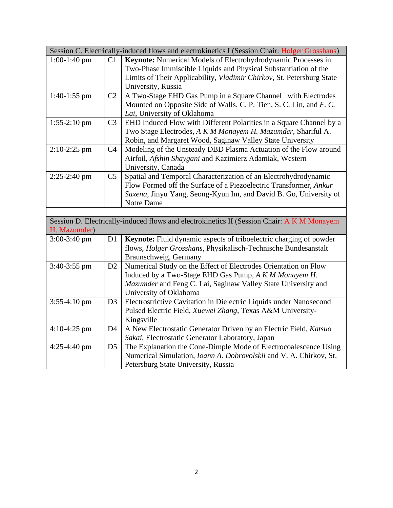| Session C. Electrically-induced flows and electrokinetics I (Session Chair: Holger Grosshans)              |                |                                                                       |  |  |
|------------------------------------------------------------------------------------------------------------|----------------|-----------------------------------------------------------------------|--|--|
| $1:00-1:40$ pm                                                                                             | C1             | Keynote: Numerical Models of Electrohydrodynamic Processes in         |  |  |
|                                                                                                            |                | Two-Phase Immiscible Liquids and Physical Substantiation of the       |  |  |
|                                                                                                            |                | Limits of Their Applicability, Vladimir Chirkov, St. Petersburg State |  |  |
|                                                                                                            |                | University, Russia                                                    |  |  |
| $1:40-1:55$ pm                                                                                             | C <sub>2</sub> | A Two-Stage EHD Gas Pump in a Square Channel with Electrodes          |  |  |
|                                                                                                            |                | Mounted on Opposite Side of Walls, C. P. Tien, S. C. Lin, and F. C.   |  |  |
|                                                                                                            |                | Lai, University of Oklahoma                                           |  |  |
| $1:55-2:10$ pm                                                                                             | C <sub>3</sub> | EHD Induced Flow with Different Polarities in a Square Channel by a   |  |  |
|                                                                                                            |                | Two Stage Electrodes, A K M Monayem H. Mazumder, Shariful A.          |  |  |
|                                                                                                            |                | Robin, and Margaret Wood, Saginaw Valley State University             |  |  |
| $2:10-2:25$ pm                                                                                             | C <sub>4</sub> | Modeling of the Unsteady DBD Plasma Actuation of the Flow around      |  |  |
|                                                                                                            |                | Airfoil, Afshin Shaygani and Kazimierz Adamiak, Western               |  |  |
|                                                                                                            |                | University, Canada                                                    |  |  |
| 2:25-2:40 pm                                                                                               | C <sub>5</sub> | Spatial and Temporal Characterization of an Electrohydrodynamic       |  |  |
|                                                                                                            |                | Flow Formed off the Surface of a Piezoelectric Transformer, Ankur     |  |  |
|                                                                                                            |                | Saxena, Jinyu Yang, Seong-Kyun Im, and David B. Go, University of     |  |  |
|                                                                                                            |                | Notre Dame                                                            |  |  |
|                                                                                                            |                |                                                                       |  |  |
| Session D. Electrically-induced flows and electrokinetics II (Session Chair: A K M Monayem<br>H. Mazumder) |                |                                                                       |  |  |
| $3:00-3:40$ pm                                                                                             | D <sub>1</sub> | Keynote: Fluid dynamic aspects of triboelectric charging of powder    |  |  |
|                                                                                                            |                | flows, Holger Grosshans, Physikalisch-Technische Bundesanstalt        |  |  |
|                                                                                                            |                | Braunschweig, Germany                                                 |  |  |
| 3:40-3:55 pm                                                                                               | D2             | Numerical Study on the Effect of Electrodes Orientation on Flow       |  |  |
|                                                                                                            |                | Induced by a Two-Stage EHD Gas Pump, A K M Monayem H.                 |  |  |
|                                                                                                            |                | Mazumder and Feng C. Lai, Saginaw Valley State University and         |  |  |
|                                                                                                            |                | University of Oklahoma                                                |  |  |
| $3:55-4:10$ pm                                                                                             | D <sub>3</sub> | Electrostrictive Cavitation in Dielectric Liquids under Nanosecond    |  |  |
|                                                                                                            |                | Pulsed Electric Field, Xuewei Zhang, Texas A&M University-            |  |  |
|                                                                                                            |                | Kingsville                                                            |  |  |
| $4:10-4:25$ pm                                                                                             | D <sub>4</sub> | A New Electrostatic Generator Driven by an Electric Field, Katsuo     |  |  |
|                                                                                                            |                | Sakai, Electrostatic Generator Laboratory, Japan                      |  |  |
| 4:25-4:40 pm                                                                                               | D <sub>5</sub> | The Explanation the Cone-Dimple Mode of Electrocoalescence Using      |  |  |
|                                                                                                            |                | Numerical Simulation, Ioann A. Dobrovolskii and V. A. Chirkov, St.    |  |  |
|                                                                                                            |                | Petersburg State University, Russia                                   |  |  |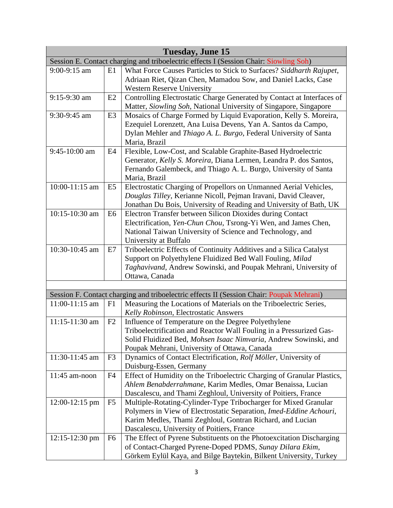| Tuesday, June 15                                                                      |                |                                                                                                                                  |  |  |  |
|---------------------------------------------------------------------------------------|----------------|----------------------------------------------------------------------------------------------------------------------------------|--|--|--|
| Session E. Contact charging and triboelectric effects I (Session Chair: Siowling Soh) |                |                                                                                                                                  |  |  |  |
| 9:00-9:15 am                                                                          | E1             | What Force Causes Particles to Stick to Surfaces? Siddharth Rajupet,                                                             |  |  |  |
|                                                                                       |                | Adriaan Riet, Qizan Chen, Mamadou Sow, and Daniel Lacks, Case                                                                    |  |  |  |
|                                                                                       |                | <b>Western Reserve University</b>                                                                                                |  |  |  |
| 9:15-9:30 am                                                                          | E2             | Controlling Electrostatic Charge Generated by Contact at Interfaces of                                                           |  |  |  |
|                                                                                       |                | Matter, Siowling Soh, National University of Singapore, Singapore                                                                |  |  |  |
| 9:30-9:45 am                                                                          | E <sub>3</sub> | Mosaics of Charge Formed by Liquid Evaporation, Kelly S. Moreira,                                                                |  |  |  |
|                                                                                       |                | Ezequiel Lorenzett, Ana Luisa Devens, Yan A. Santos da Campo,                                                                    |  |  |  |
|                                                                                       |                | Dylan Mehler and Thiago A. L. Burgo, Federal University of Santa                                                                 |  |  |  |
|                                                                                       |                | Maria, Brazil                                                                                                                    |  |  |  |
| 9:45-10:00 am                                                                         | E4             | Flexible, Low-Cost, and Scalable Graphite-Based Hydroelectric                                                                    |  |  |  |
|                                                                                       |                | Generator, Kelly S. Moreira, Diana Lermen, Leandra P. dos Santos,                                                                |  |  |  |
|                                                                                       |                | Fernando Galembeck, and Thiago A. L. Burgo, University of Santa                                                                  |  |  |  |
|                                                                                       |                | Maria, Brazil                                                                                                                    |  |  |  |
| 10:00-11:15 am                                                                        | E <sub>5</sub> | Electrostatic Charging of Propellors on Unmanned Aerial Vehicles,                                                                |  |  |  |
|                                                                                       |                | Douglas Tilley, Kerianne Nicoll, Pejman Iravani, David Cleaver,                                                                  |  |  |  |
|                                                                                       |                | Jonathan Du Bois, University of Reading and University of Bath, UK                                                               |  |  |  |
| 10:15-10:30 am                                                                        | E <sub>6</sub> | Electron Transfer between Silicon Dioxides during Contact                                                                        |  |  |  |
|                                                                                       |                | Electrification, Yen-Chun Chou, Tsrong-Yi Wen, and James Chen,                                                                   |  |  |  |
|                                                                                       |                | National Taiwan University of Science and Technology, and                                                                        |  |  |  |
| 10:30-10:45 am                                                                        |                | University at Buffalo                                                                                                            |  |  |  |
|                                                                                       | E7             | Triboelectric Effects of Continuity Additives and a Silica Catalyst<br>Support on Polyethylene Fluidized Bed Wall Fouling, Milad |  |  |  |
|                                                                                       |                | Taghavivand, Andrew Sowinski, and Poupak Mehrani, University of                                                                  |  |  |  |
|                                                                                       |                | Ottawa, Canada                                                                                                                   |  |  |  |
|                                                                                       |                |                                                                                                                                  |  |  |  |
|                                                                                       |                | Session F. Contact charging and triboelectric effects II (Session Chair: Poupak Mehrani)                                         |  |  |  |
| 11:00-11:15 am                                                                        | F1             | Measuring the Locations of Materials on the Triboelectric Series,                                                                |  |  |  |
|                                                                                       |                | Kelly Robinson, Electrostatic Answers                                                                                            |  |  |  |
| 11:15-11:30 am                                                                        | F2             | Influence of Temperature on the Degree Polyethylene                                                                              |  |  |  |
|                                                                                       |                | Triboelectrification and Reactor Wall Fouling in a Pressurized Gas-                                                              |  |  |  |
|                                                                                       |                | Solid Fluidized Bed, Mohsen Isaac Nimvaria, Andrew Sowinski, and                                                                 |  |  |  |
|                                                                                       |                | Poupak Mehrani, University of Ottawa, Canada                                                                                     |  |  |  |
| 11:30-11:45 am                                                                        | F <sub>3</sub> | Dynamics of Contact Electrification, Rolf Möller, University of                                                                  |  |  |  |
|                                                                                       |                | Duisburg-Essen, Germany                                                                                                          |  |  |  |
| $11:45$ am-noon                                                                       | F <sub>4</sub> | Effect of Humidity on the Triboelectric Charging of Granular Plastics,                                                           |  |  |  |
|                                                                                       |                | Ahlem Benabderrahmane, Karim Medles, Omar Benaissa, Lucian                                                                       |  |  |  |
|                                                                                       |                | Dascalescu, and Thami Zeghloul, University of Poitiers, France                                                                   |  |  |  |
| $12:00-12:15$ pm                                                                      | F <sub>5</sub> | Multiple-Rotating-Cylinder-Type Tribocharger for Mixed Granular                                                                  |  |  |  |
|                                                                                       |                | Polymers in View of Electrostatic Separation, Imed-Eddine Achouri,                                                               |  |  |  |
|                                                                                       |                | Karim Medles, Thami Zeghloul, Gontran Richard, and Lucian                                                                        |  |  |  |
|                                                                                       |                | Dascalescu, University of Poitiers, France                                                                                       |  |  |  |
| $12:15 - 12:30$ pm                                                                    | F <sub>6</sub> | The Effect of Pyrene Substituents on the Photoexcitation Discharging                                                             |  |  |  |
|                                                                                       |                | of Contact-Charged Pyrene-Doped PDMS, Sunay Dilara Ekim,                                                                         |  |  |  |
|                                                                                       |                | Görkem Eylül Kaya, and Bilge Baytekin, Bilkent University, Turkey                                                                |  |  |  |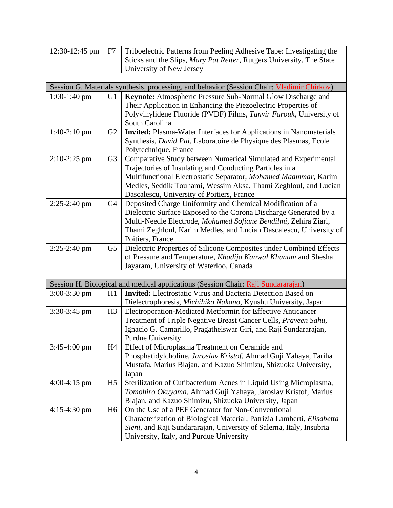| 12:30-12:45 pm | F7             | Triboelectric Patterns from Peeling Adhesive Tape: Investigating the                                        |  |  |  |
|----------------|----------------|-------------------------------------------------------------------------------------------------------------|--|--|--|
|                |                | Sticks and the Slips, Mary Pat Reiter, Rutgers University, The State                                        |  |  |  |
|                |                | University of New Jersey                                                                                    |  |  |  |
|                |                |                                                                                                             |  |  |  |
|                |                | Session G. Materials synthesis, processing, and behavior (Session Chair: Vladimir Chirkov)                  |  |  |  |
| $1:00-1:40$ pm | G <sub>1</sub> | Keynote: Atmospheric Pressure Sub-Normal Glow Discharge and                                                 |  |  |  |
|                |                | Their Application in Enhancing the Piezoelectric Properties of                                              |  |  |  |
|                |                | Polyvinylidene Fluoride (PVDF) Films, Tanvir Farouk, University of                                          |  |  |  |
|                |                | South Carolina                                                                                              |  |  |  |
| $1:40-2:10$ pm | G <sub>2</sub> | <b>Invited:</b> Plasma-Water Interfaces for Applications in Nanomaterials                                   |  |  |  |
|                |                | Synthesis, David Pai, Laboratoire de Physique des Plasmas, Ecole                                            |  |  |  |
|                |                | Polytechnique, France                                                                                       |  |  |  |
| $2:10-2:25$ pm | G <sub>3</sub> | Comparative Study between Numerical Simulated and Experimental                                              |  |  |  |
|                |                | Trajectories of Insulating and Conducting Particles in a                                                    |  |  |  |
|                |                | Multifunctional Electrostatic Separator, Mohamed Maammar, Karim                                             |  |  |  |
|                |                | Medles, Seddik Touhami, Wessim Aksa, Thami Zeghloul, and Lucian                                             |  |  |  |
|                |                | Dascalescu, University of Poitiers, France                                                                  |  |  |  |
| $2:25-2:40$ pm | G4             | Deposited Charge Uniformity and Chemical Modification of a                                                  |  |  |  |
|                |                | Dielectric Surface Exposed to the Corona Discharge Generated by a                                           |  |  |  |
|                |                | Multi-Needle Electrode, Mohamed Sofiane Bendilmi, Zehira Ziari,                                             |  |  |  |
|                |                | Thami Zeghloul, Karim Medles, and Lucian Dascalescu, University of                                          |  |  |  |
|                |                | Poitiers, France                                                                                            |  |  |  |
| 2:25-2:40 pm   | G <sub>5</sub> | Dielectric Properties of Silicone Composites under Combined Effects                                         |  |  |  |
|                |                | of Pressure and Temperature, Khadija Kanwal Khanum and Shesha                                               |  |  |  |
|                |                | Jayaram, University of Waterloo, Canada                                                                     |  |  |  |
|                |                |                                                                                                             |  |  |  |
|                |                | Session H. Biological and medical applications (Session Chair: Raji Sundararajan)                           |  |  |  |
| $3:00-3:30$ pm | H1             | <b>Invited:</b> Electrostatic Virus and Bacteria Detection Based on                                         |  |  |  |
|                |                | Dielectrophoresis, Michihiko Nakano, Kyushu University, Japan                                               |  |  |  |
| $3:30-3:45$ pm | H <sub>3</sub> | Electroporation-Mediated Metformin for Effective Anticancer                                                 |  |  |  |
|                |                | Treatment of Triple Negative Breast Cancer Cells, Praveen Sahu,                                             |  |  |  |
|                |                | Ignacio G. Camarillo, Pragatheiswar Giri, and Raji Sundararajan,                                            |  |  |  |
|                |                | <b>Purdue University</b>                                                                                    |  |  |  |
| $3:45-4:00$ pm | H <sub>4</sub> | Effect of Microplasma Treatment on Ceramide and                                                             |  |  |  |
|                |                | Phosphatidylcholine, Jaroslav Kristof, Ahmad Guji Yahaya, Fariha                                            |  |  |  |
|                |                | Mustafa, Marius Blajan, and Kazuo Shimizu, Shizuoka University,                                             |  |  |  |
|                |                | Japan                                                                                                       |  |  |  |
| $4:00-4:15$ pm | H <sub>5</sub> | Sterilization of Cutibacterium Acnes in Liquid Using Microplasma,                                           |  |  |  |
|                |                | Tomohiro Okuyama, Ahmad Guji Yahaya, Jaroslav Kristof, Marius                                               |  |  |  |
|                |                | Blajan, and Kazuo Shimizu, Shizuoka University, Japan<br>On the Use of a PEF Generator for Non-Conventional |  |  |  |
| $4:15-4:30$ pm | H <sub>6</sub> |                                                                                                             |  |  |  |
|                |                | Characterization of Biological Material, Patrizia Lamberti, Elisabetta                                      |  |  |  |
|                |                | Sieni, and Raji Sundararajan, University of Salerna, Italy, Insubria                                        |  |  |  |
|                |                | University, Italy, and Purdue University                                                                    |  |  |  |